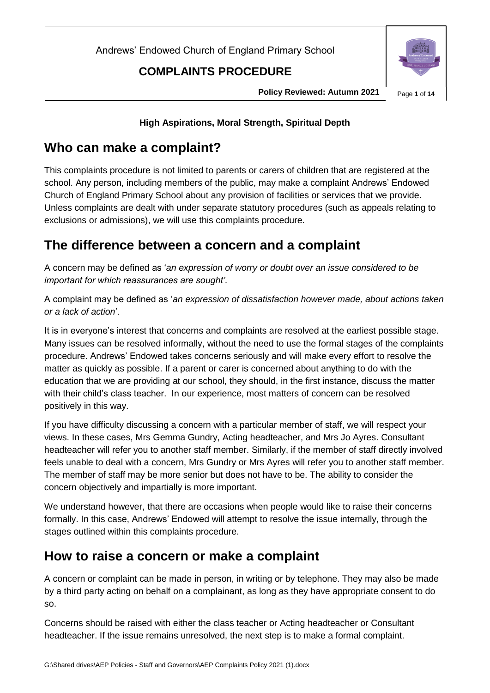Andrews' Endowed Church of England Primary School

**COMPLAINTS PROCEDURE**



**Policy Reviewed: Autumn 2021**

Page **1** of **14**

#### **High Aspirations, Moral Strength, Spiritual Depth**

#### **Who can make a complaint?**

This complaints procedure is not limited to parents or carers of children that are registered at the school. Any person, including members of the public, may make a complaint Andrews' Endowed Church of England Primary School about any provision of facilities or services that we provide. Unless complaints are dealt with under separate statutory procedures (such as appeals relating to exclusions or admissions), we will use this complaints procedure.

### **The difference between a concern and a complaint**

A concern may be defined as '*an expression of worry or doubt over an issue considered to be important for which reassurances are sought'*.

A complaint may be defined as '*an expression of dissatisfaction however made, about actions taken or a lack of action*'.

It is in everyone's interest that concerns and complaints are resolved at the earliest possible stage. Many issues can be resolved informally, without the need to use the formal stages of the complaints procedure. Andrews' Endowed takes concerns seriously and will make every effort to resolve the matter as quickly as possible. If a parent or carer is concerned about anything to do with the education that we are providing at our school, they should, in the first instance, discuss the matter with their child's class teacher. In our experience, most matters of concern can be resolved positively in this way.

If you have difficulty discussing a concern with a particular member of staff, we will respect your views. In these cases, Mrs Gemma Gundry, Acting headteacher, and Mrs Jo Ayres. Consultant headteacher will refer you to another staff member. Similarly, if the member of staff directly involved feels unable to deal with a concern, Mrs Gundry or Mrs Ayres will refer you to another staff member. The member of staff may be more senior but does not have to be. The ability to consider the concern objectively and impartially is more important.

We understand however, that there are occasions when people would like to raise their concerns formally. In this case, Andrews' Endowed will attempt to resolve the issue internally, through the stages outlined within this complaints procedure.

#### **How to raise a concern or make a complaint**

A concern or complaint can be made in person, in writing or by telephone. They may also be made by a third party acting on behalf on a complainant, as long as they have appropriate consent to do so.

Concerns should be raised with either the class teacher or Acting headteacher or Consultant headteacher. If the issue remains unresolved, the next step is to make a formal complaint.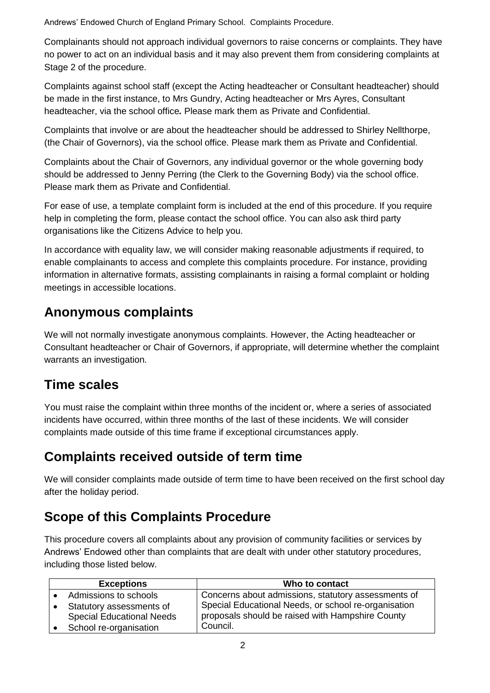Complainants should not approach individual governors to raise concerns or complaints. They have no power to act on an individual basis and it may also prevent them from considering complaints at Stage 2 of the procedure.

Complaints against school staff (except the Acting headteacher or Consultant headteacher) should be made in the first instance, to Mrs Gundry, Acting headteacher or Mrs Ayres, Consultant headteacher, via the school office*.* Please mark them as Private and Confidential.

Complaints that involve or are about the headteacher should be addressed to Shirley Nellthorpe, (the Chair of Governors), via the school office. Please mark them as Private and Confidential.

Complaints about the Chair of Governors, any individual governor or the whole governing body should be addressed to Jenny Perring (the Clerk to the Governing Body) via the school office. Please mark them as Private and Confidential.

For ease of use, a template complaint form is included at the end of this procedure. If you require help in completing the form, please contact the school office. You can also ask third party organisations like the Citizens Advice to help you.

In accordance with equality law, we will consider making reasonable adjustments if required, to enable complainants to access and complete this complaints procedure. For instance, providing information in alternative formats, assisting complainants in raising a formal complaint or holding meetings in accessible locations.

## **Anonymous complaints**

We will not normally investigate anonymous complaints. However, the Acting headteacher or Consultant headteacher or Chair of Governors, if appropriate, will determine whether the complaint warrants an investigation.

### **Time scales**

You must raise the complaint within three months of the incident or, where a series of associated incidents have occurred, within three months of the last of these incidents. We will consider complaints made outside of this time frame if exceptional circumstances apply.

## **Complaints received outside of term time**

We will consider complaints made outside of term time to have been received on the first school day after the holiday period.

# **Scope of this Complaints Procedure**

This procedure covers all complaints about any provision of community facilities or services by Andrews' Endowed other than complaints that are dealt with under other statutory procedures, including those listed below.

| <b>Exceptions</b>                                                                     | Who to contact                                                                                                                                                  |
|---------------------------------------------------------------------------------------|-----------------------------------------------------------------------------------------------------------------------------------------------------------------|
| Admissions to schools<br>Statutory assessments of<br><b>Special Educational Needs</b> | Concerns about admissions, statutory assessments of<br>Special Educational Needs, or school re-organisation<br>proposals should be raised with Hampshire County |
| School re-organisation                                                                | Council.                                                                                                                                                        |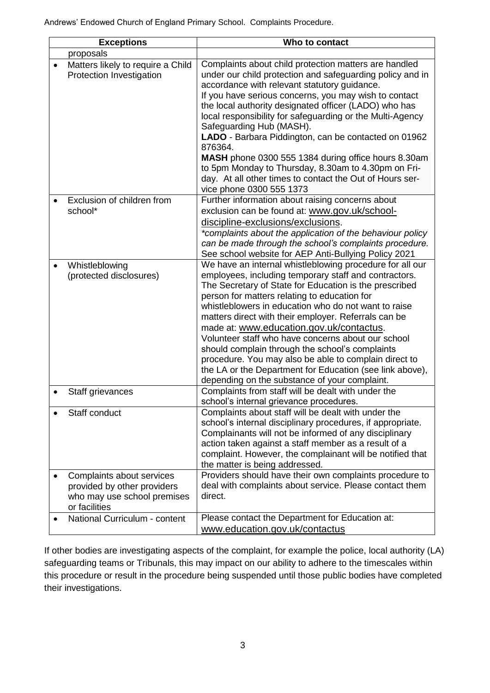| <b>Exceptions</b><br>Who to contact                                                                      |                                                                                                                                                                                                                                                                                                                                                                                                                                                                                                                                                                                                                                                                        |
|----------------------------------------------------------------------------------------------------------|------------------------------------------------------------------------------------------------------------------------------------------------------------------------------------------------------------------------------------------------------------------------------------------------------------------------------------------------------------------------------------------------------------------------------------------------------------------------------------------------------------------------------------------------------------------------------------------------------------------------------------------------------------------------|
| proposals                                                                                                |                                                                                                                                                                                                                                                                                                                                                                                                                                                                                                                                                                                                                                                                        |
| Matters likely to require a Child<br>Protection Investigation                                            | Complaints about child protection matters are handled<br>under our child protection and safeguarding policy and in<br>accordance with relevant statutory guidance.<br>If you have serious concerns, you may wish to contact<br>the local authority designated officer (LADO) who has<br>local responsibility for safeguarding or the Multi-Agency<br>Safeguarding Hub (MASH).<br>LADO - Barbara Piddington, can be contacted on 01962<br>876364.<br>MASH phone 0300 555 1384 during office hours 8.30am<br>to 5pm Monday to Thursday, 8.30am to 4.30pm on Fri-<br>day. At all other times to contact the Out of Hours ser-<br>vice phone 0300 555 1373                 |
| Exclusion of children from<br>school*                                                                    | Further information about raising concerns about<br>exclusion can be found at: www.gov.uk/school-<br>discipline-exclusions/exclusions.<br>*complaints about the application of the behaviour policy<br>can be made through the school's complaints procedure.<br>See school website for AEP Anti-Bullying Policy 2021                                                                                                                                                                                                                                                                                                                                                  |
| Whistleblowing<br>(protected disclosures)                                                                | We have an internal whistleblowing procedure for all our<br>employees, including temporary staff and contractors.<br>The Secretary of State for Education is the prescribed<br>person for matters relating to education for<br>whistleblowers in education who do not want to raise<br>matters direct with their employer. Referrals can be<br>made at: www.education.gov.uk/contactus.<br>Volunteer staff who have concerns about our school<br>should complain through the school's complaints<br>procedure. You may also be able to complain direct to<br>the LA or the Department for Education (see link above),<br>depending on the substance of your complaint. |
| Staff grievances                                                                                         | Complaints from staff will be dealt with under the<br>school's internal grievance procedures.                                                                                                                                                                                                                                                                                                                                                                                                                                                                                                                                                                          |
| Staff conduct                                                                                            | Complaints about staff will be dealt with under the<br>school's internal disciplinary procedures, if appropriate.<br>Complainants will not be informed of any disciplinary<br>action taken against a staff member as a result of a<br>complaint. However, the complainant will be notified that<br>the matter is being addressed.                                                                                                                                                                                                                                                                                                                                      |
| Complaints about services<br>provided by other providers<br>who may use school premises<br>or facilities | Providers should have their own complaints procedure to<br>deal with complaints about service. Please contact them<br>direct.                                                                                                                                                                                                                                                                                                                                                                                                                                                                                                                                          |
| National Curriculum - content                                                                            | Please contact the Department for Education at:<br>www.education.gov.uk/contactus                                                                                                                                                                                                                                                                                                                                                                                                                                                                                                                                                                                      |

If other bodies are investigating aspects of the complaint, for example the police, local authority (LA) safeguarding teams or Tribunals, this may impact on our ability to adhere to the timescales within this procedure or result in the procedure being suspended until those public bodies have completed their investigations.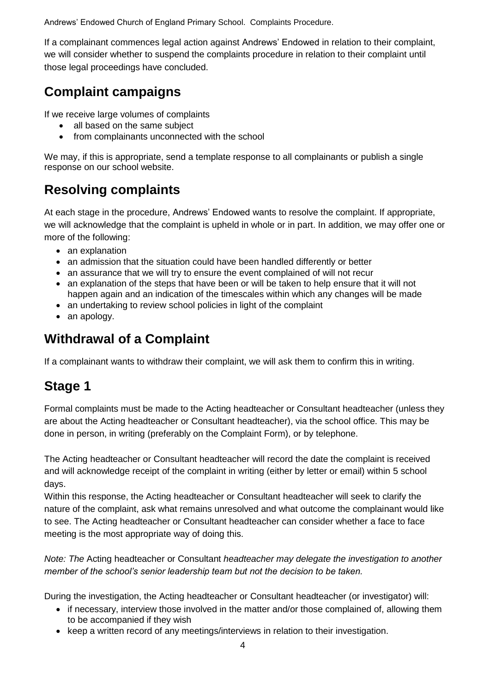If a complainant commences legal action against Andrews' Endowed in relation to their complaint, we will consider whether to suspend the complaints procedure in relation to their complaint until those legal proceedings have concluded.

# **Complaint campaigns**

If we receive large volumes of complaints

- all based on the same subject
- from complainants unconnected with the school

We may, if this is appropriate, send a template response to all complainants or publish a single response on our school website.

## **Resolving complaints**

At each stage in the procedure, Andrews' Endowed wants to resolve the complaint. If appropriate, we will acknowledge that the complaint is upheld in whole or in part. In addition, we may offer one or more of the following:

- an explanation
- an admission that the situation could have been handled differently or better
- an assurance that we will try to ensure the event complained of will not recur
- an explanation of the steps that have been or will be taken to help ensure that it will not happen again and an indication of the timescales within which any changes will be made
- an undertaking to review school policies in light of the complaint
- an apology.

## **Withdrawal of a Complaint**

If a complainant wants to withdraw their complaint, we will ask them to confirm this in writing.

# **Stage 1**

Formal complaints must be made to the Acting headteacher or Consultant headteacher (unless they are about the Acting headteacher or Consultant headteacher), via the school office. This may be done in person, in writing (preferably on the Complaint Form), or by telephone.

The Acting headteacher or Consultant headteacher will record the date the complaint is received and will acknowledge receipt of the complaint in writing (either by letter or email) within 5 school days.

Within this response, the Acting headteacher or Consultant headteacher will seek to clarify the nature of the complaint, ask what remains unresolved and what outcome the complainant would like to see. The Acting headteacher or Consultant headteacher can consider whether a face to face meeting is the most appropriate way of doing this.

*Note: The* Acting headteacher or Consultant *headteacher may delegate the investigation to another member of the school's senior leadership team but not the decision to be taken.*

During the investigation, the Acting headteacher or Consultant headteacher (or investigator) will:

- if necessary, interview those involved in the matter and/or those complained of, allowing them to be accompanied if they wish
- keep a written record of any meetings/interviews in relation to their investigation.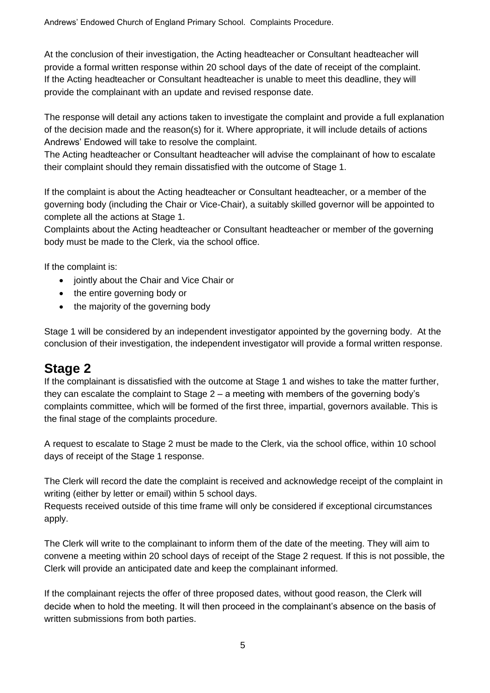At the conclusion of their investigation, the Acting headteacher or Consultant headteacher will provide a formal written response within 20 school days of the date of receipt of the complaint. If the Acting headteacher or Consultant headteacher is unable to meet this deadline, they will provide the complainant with an update and revised response date.

The response will detail any actions taken to investigate the complaint and provide a full explanation of the decision made and the reason(s) for it. Where appropriate, it will include details of actions Andrews' Endowed will take to resolve the complaint.

The Acting headteacher or Consultant headteacher will advise the complainant of how to escalate their complaint should they remain dissatisfied with the outcome of Stage 1.

If the complaint is about the Acting headteacher or Consultant headteacher, or a member of the governing body (including the Chair or Vice-Chair), a suitably skilled governor will be appointed to complete all the actions at Stage 1.

Complaints about the Acting headteacher or Consultant headteacher or member of the governing body must be made to the Clerk, via the school office.

If the complaint is:

- jointly about the Chair and Vice Chair or
- the entire governing body or
- the majority of the governing body

Stage 1 will be considered by an independent investigator appointed by the governing body. At the conclusion of their investigation, the independent investigator will provide a formal written response.

#### **Stage 2**

If the complainant is dissatisfied with the outcome at Stage 1 and wishes to take the matter further, they can escalate the complaint to Stage 2 – a meeting with members of the governing body's complaints committee, which will be formed of the first three, impartial, governors available. This is the final stage of the complaints procedure.

A request to escalate to Stage 2 must be made to the Clerk, via the school office, within 10 school days of receipt of the Stage 1 response.

The Clerk will record the date the complaint is received and acknowledge receipt of the complaint in writing (either by letter or email) within 5 school days.

Requests received outside of this time frame will only be considered if exceptional circumstances apply.

The Clerk will write to the complainant to inform them of the date of the meeting. They will aim to convene a meeting within 20 school days of receipt of the Stage 2 request. If this is not possible, the Clerk will provide an anticipated date and keep the complainant informed.

If the complainant rejects the offer of three proposed dates, without good reason, the Clerk will decide when to hold the meeting. It will then proceed in the complainant's absence on the basis of written submissions from both parties.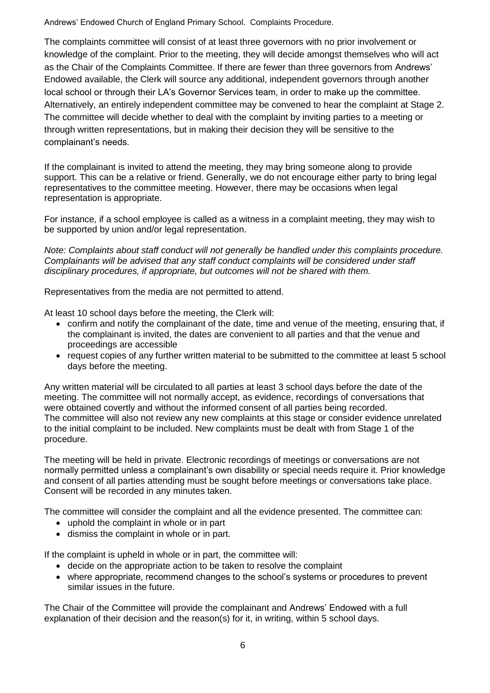The complaints committee will consist of at least three governors with no prior involvement or knowledge of the complaint. Prior to the meeting, they will decide amongst themselves who will act as the Chair of the Complaints Committee. If there are fewer than three governors from Andrews' Endowed available, the Clerk will source any additional, independent governors through another local school or through their LA's Governor Services team, in order to make up the committee. Alternatively, an entirely independent committee may be convened to hear the complaint at Stage 2. The committee will decide whether to deal with the complaint by inviting parties to a meeting or through written representations, but in making their decision they will be sensitive to the complainant's needs.

If the complainant is invited to attend the meeting, they may bring someone along to provide support. This can be a relative or friend. Generally, we do not encourage either party to bring legal representatives to the committee meeting. However, there may be occasions when legal representation is appropriate.

For instance, if a school employee is called as a witness in a complaint meeting, they may wish to be supported by union and/or legal representation.

*Note: Complaints about staff conduct will not generally be handled under this complaints procedure. Complainants will be advised that any staff conduct complaints will be considered under staff disciplinary procedures, if appropriate, but outcomes will not be shared with them.* 

Representatives from the media are not permitted to attend.

At least 10 school days before the meeting, the Clerk will:

- confirm and notify the complainant of the date, time and venue of the meeting, ensuring that, if the complainant is invited, the dates are convenient to all parties and that the venue and proceedings are accessible
- request copies of any further written material to be submitted to the committee at least 5 school days before the meeting.

Any written material will be circulated to all parties at least 3 school days before the date of the meeting. The committee will not normally accept, as evidence, recordings of conversations that were obtained covertly and without the informed consent of all parties being recorded. The committee will also not review any new complaints at this stage or consider evidence unrelated to the initial complaint to be included. New complaints must be dealt with from Stage 1 of the procedure.

The meeting will be held in private. Electronic recordings of meetings or conversations are not normally permitted unless a complainant's own disability or special needs require it. Prior knowledge and consent of all parties attending must be sought before meetings or conversations take place. Consent will be recorded in any minutes taken.

The committee will consider the complaint and all the evidence presented. The committee can:

- uphold the complaint in whole or in part
- dismiss the complaint in whole or in part.

If the complaint is upheld in whole or in part, the committee will:

- decide on the appropriate action to be taken to resolve the complaint
- where appropriate, recommend changes to the school's systems or procedures to prevent similar issues in the future.

The Chair of the Committee will provide the complainant and Andrews' Endowed with a full explanation of their decision and the reason(s) for it, in writing, within 5 school days.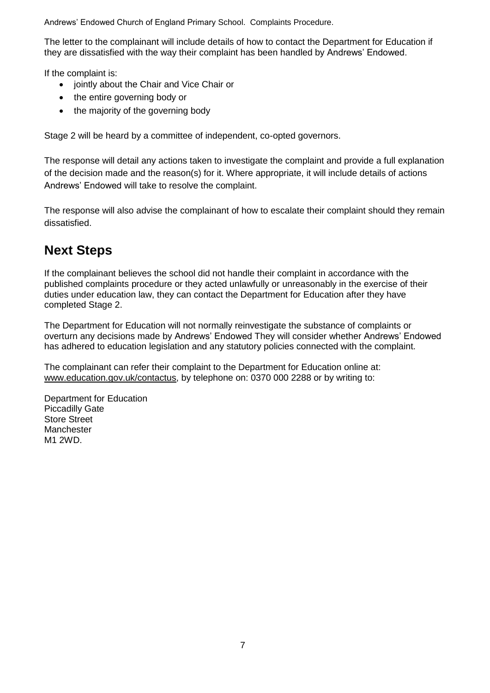The letter to the complainant will include details of how to contact the Department for Education if they are dissatisfied with the way their complaint has been handled by Andrews' Endowed.

If the complaint is:

- jointly about the Chair and Vice Chair or
- the entire governing body or
- the majority of the governing body

Stage 2 will be heard by a committee of independent, co-opted governors.

The response will detail any actions taken to investigate the complaint and provide a full explanation of the decision made and the reason(s) for it. Where appropriate, it will include details of actions Andrews' Endowed will take to resolve the complaint.

The response will also advise the complainant of how to escalate their complaint should they remain dissatisfied.

# **Next Steps**

If the complainant believes the school did not handle their complaint in accordance with the published complaints procedure or they acted unlawfully or unreasonably in the exercise of their duties under education law, they can contact the Department for Education after they have completed Stage 2.

The Department for Education will not normally reinvestigate the substance of complaints or overturn any decisions made by Andrews' Endowed They will consider whether Andrews' Endowed has adhered to education legislation and any statutory policies connected with the complaint.

The complainant can refer their complaint to the Department for Education online at: [www.education.gov.uk/contactus,](http://www.education.gov.uk/contactus) by telephone on: 0370 000 2288 or by writing to:

Department for Education Piccadilly Gate Store Street **Manchester** M1 2WD.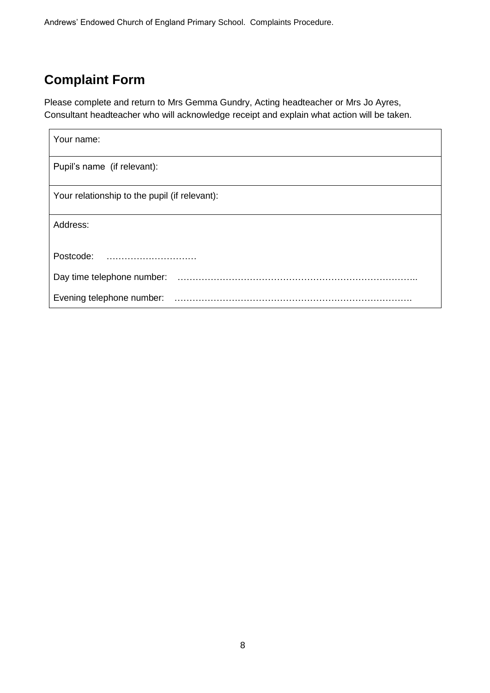# **Complaint Form**

Please complete and return to Mrs Gemma Gundry, Acting headteacher or Mrs Jo Ayres, Consultant headteacher who will acknowledge receipt and explain what action will be taken.

| Your name:                                    |  |  |
|-----------------------------------------------|--|--|
| Pupil's name (if relevant):                   |  |  |
| Your relationship to the pupil (if relevant): |  |  |
| Address:                                      |  |  |
| Postcode:                                     |  |  |
| Day time telephone number:                    |  |  |
| Evening telephone number:                     |  |  |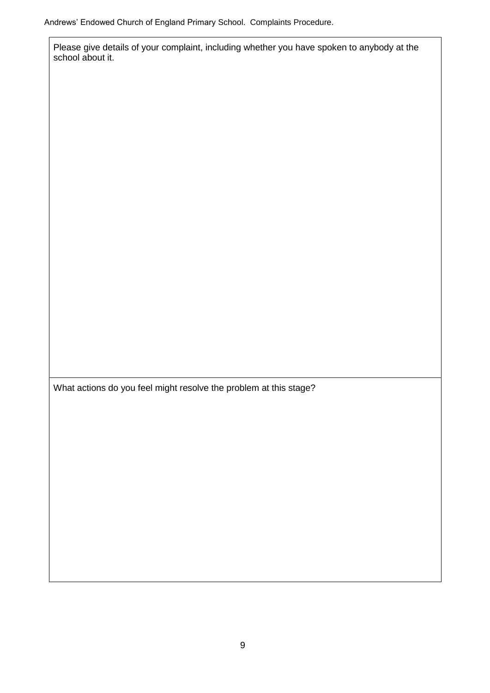Please give details of your complaint, including whether you have spoken to anybody at the school about it.

What actions do you feel might resolve the problem at this stage?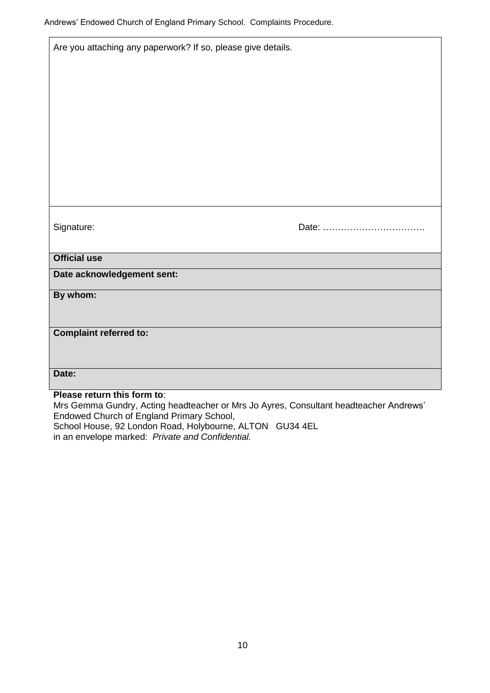| Are you attaching any paperwork? If so, please give details. |  |  |  |  |
|--------------------------------------------------------------|--|--|--|--|
|                                                              |  |  |  |  |
|                                                              |  |  |  |  |
|                                                              |  |  |  |  |
|                                                              |  |  |  |  |
|                                                              |  |  |  |  |
|                                                              |  |  |  |  |
|                                                              |  |  |  |  |
|                                                              |  |  |  |  |
| Signature:                                                   |  |  |  |  |
| <b>Official use</b>                                          |  |  |  |  |
|                                                              |  |  |  |  |
| Date acknowledgement sent:                                   |  |  |  |  |
| By whom:                                                     |  |  |  |  |
| <b>Complaint referred to:</b>                                |  |  |  |  |
| Date:<br>Please return this form to:                         |  |  |  |  |

Mrs Gemma Gundry, Acting headteacher or Mrs Jo Ayres, Consultant headteacher Andrews' Endowed Church of England Primary School, School House, 92 London Road, Holybourne, ALTON GU34 4EL in an envelope marked: *Private and Confidential.*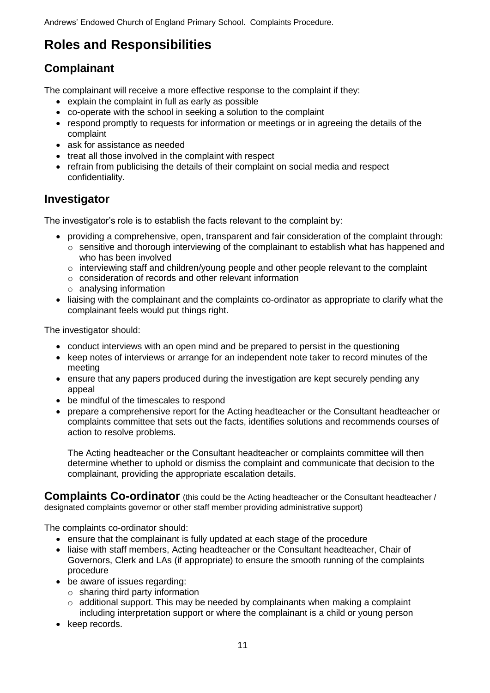## **Roles and Responsibilities**

#### **Complainant**

The complainant will receive a more effective response to the complaint if they:

- explain the complaint in full as early as possible
- co-operate with the school in seeking a solution to the complaint
- respond promptly to requests for information or meetings or in agreeing the details of the complaint
- ask for assistance as needed
- treat all those involved in the complaint with respect
- refrain from publicising the details of their complaint on social media and respect confidentiality.

#### **Investigator**

The investigator's role is to establish the facts relevant to the complaint by:

- providing a comprehensive, open, transparent and fair consideration of the complaint through:
	- o sensitive and thorough interviewing of the complainant to establish what has happened and who has been involved
	- o interviewing staff and children/young people and other people relevant to the complaint
	- o consideration of records and other relevant information
	- o analysing information
- liaising with the complainant and the complaints co-ordinator as appropriate to clarify what the complainant feels would put things right.

The investigator should:

- conduct interviews with an open mind and be prepared to persist in the questioning
- keep notes of interviews or arrange for an independent note taker to record minutes of the meeting
- ensure that any papers produced during the investigation are kept securely pending any appeal
- be mindful of the timescales to respond
- prepare a comprehensive report for the Acting headteacher or the Consultant headteacher or complaints committee that sets out the facts, identifies solutions and recommends courses of action to resolve problems.

The Acting headteacher or the Consultant headteacher or complaints committee will then determine whether to uphold or dismiss the complaint and communicate that decision to the complainant, providing the appropriate escalation details.

**Complaints Co-ordinator** (this could be the Acting headteacher or the Consultant headteacher / designated complaints governor or other staff member providing administrative support)

The complaints co-ordinator should:

- ensure that the complainant is fully updated at each stage of the procedure
- liaise with staff members, Acting headteacher or the Consultant headteacher, Chair of Governors, Clerk and LAs (if appropriate) to ensure the smooth running of the complaints procedure
- be aware of issues regarding:
	- $\circ$  sharing third party information
	- $\circ$  additional support. This may be needed by complainants when making a complaint including interpretation support or where the complainant is a child or young person
- keep records.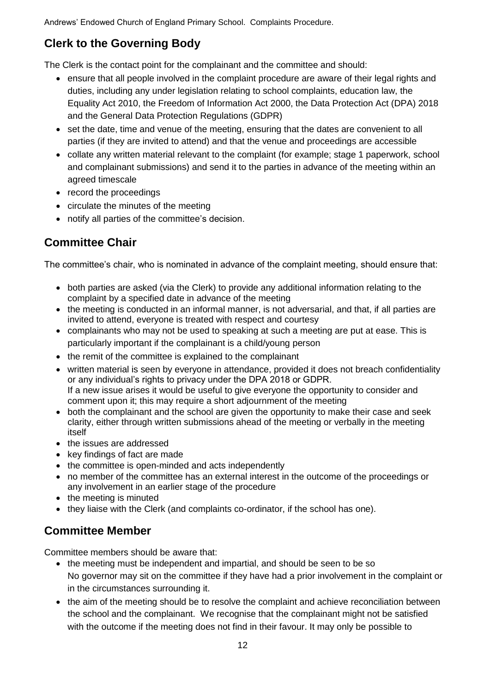### **Clerk to the Governing Body**

The Clerk is the contact point for the complainant and the committee and should:

- ensure that all people involved in the complaint procedure are aware of their legal rights and duties, including any under legislation relating to school complaints, education law, the Equality Act 2010, the Freedom of Information Act 2000, the Data Protection Act (DPA) 2018 and the General Data Protection Regulations (GDPR)
- set the date, time and venue of the meeting, ensuring that the dates are convenient to all parties (if they are invited to attend) and that the venue and proceedings are accessible
- collate any written material relevant to the complaint (for example; stage 1 paperwork, school and complainant submissions) and send it to the parties in advance of the meeting within an agreed timescale
- record the proceedings
- circulate the minutes of the meeting
- notify all parties of the committee's decision.

### **Committee Chair**

The committee's chair, who is nominated in advance of the complaint meeting, should ensure that:

- both parties are asked (via the Clerk) to provide any additional information relating to the complaint by a specified date in advance of the meeting
- the meeting is conducted in an informal manner, is not adversarial, and that, if all parties are invited to attend, everyone is treated with respect and courtesy
- complainants who may not be used to speaking at such a meeting are put at ease. This is particularly important if the complainant is a child/young person
- the remit of the committee is explained to the complainant
- written material is seen by everyone in attendance, provided it does not breach confidentiality or any individual's rights to privacy under the DPA 2018 or GDPR. If a new issue arises it would be useful to give everyone the opportunity to consider and comment upon it; this may require a short adjournment of the meeting
- both the complainant and the school are given the opportunity to make their case and seek clarity, either through written submissions ahead of the meeting or verbally in the meeting itself
- the issues are addressed
- key findings of fact are made
- the committee is open-minded and acts independently
- no member of the committee has an external interest in the outcome of the proceedings or any involvement in an earlier stage of the procedure
- the meeting is minuted
- they liaise with the Clerk (and complaints co-ordinator, if the school has one).

#### **Committee Member**

Committee members should be aware that:

- the meeting must be independent and impartial, and should be seen to be so No governor may sit on the committee if they have had a prior involvement in the complaint or in the circumstances surrounding it.
- the aim of the meeting should be to resolve the complaint and achieve reconciliation between the school and the complainant. We recognise that the complainant might not be satisfied with the outcome if the meeting does not find in their favour. It may only be possible to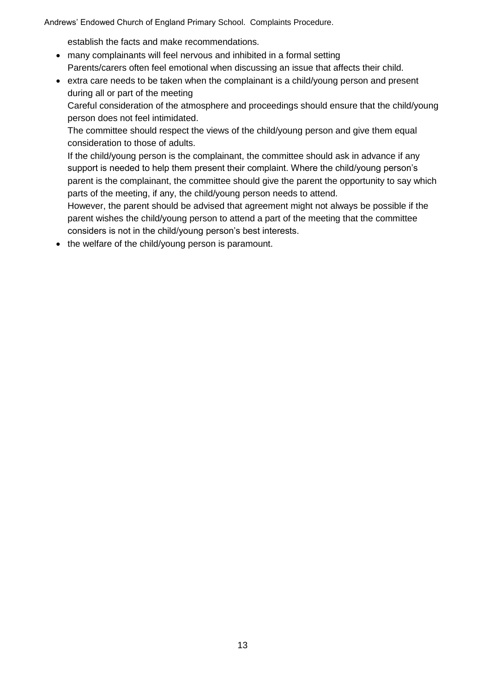establish the facts and make recommendations.

- many complainants will feel nervous and inhibited in a formal setting Parents/carers often feel emotional when discussing an issue that affects their child.
- extra care needs to be taken when the complainant is a child/young person and present during all or part of the meeting

Careful consideration of the atmosphere and proceedings should ensure that the child/young person does not feel intimidated.

The committee should respect the views of the child/young person and give them equal consideration to those of adults.

If the child/young person is the complainant, the committee should ask in advance if any support is needed to help them present their complaint. Where the child/young person's parent is the complainant, the committee should give the parent the opportunity to say which parts of the meeting, if any, the child/young person needs to attend.

However, the parent should be advised that agreement might not always be possible if the parent wishes the child/young person to attend a part of the meeting that the committee considers is not in the child/young person's best interests.

• the welfare of the child/young person is paramount.